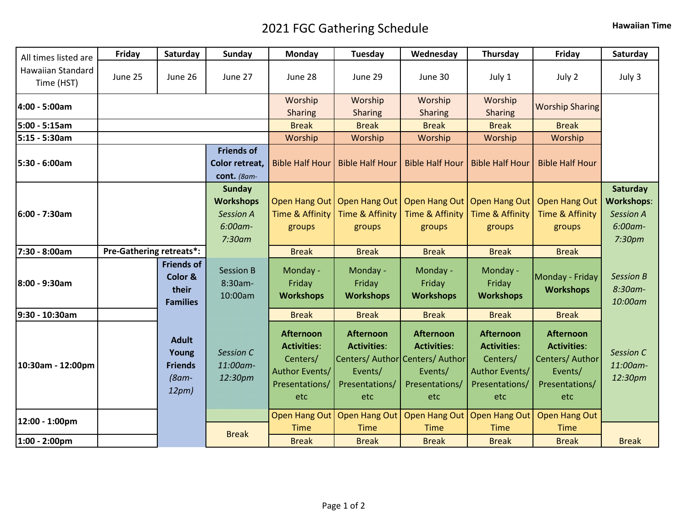## 2021 FGC Gathering Schedule **Hawaiian Time**

| All times listed are            | Friday                          | Saturday                                                     | <b>Sunday</b>                                                                 | Monday                                                                                        | Tuesday                                                                    | Wednesday                                                                                                     | Thursday                                                                                      | Friday                                                                                        | Saturday                                                               |
|---------------------------------|---------------------------------|--------------------------------------------------------------|-------------------------------------------------------------------------------|-----------------------------------------------------------------------------------------------|----------------------------------------------------------------------------|---------------------------------------------------------------------------------------------------------------|-----------------------------------------------------------------------------------------------|-----------------------------------------------------------------------------------------------|------------------------------------------------------------------------|
| Hawaiian Standard<br>Time (HST) | June 25                         | June 26                                                      | June 27                                                                       | June 28                                                                                       | June 29                                                                    | June 30                                                                                                       | July 1                                                                                        | July 2                                                                                        | July 3                                                                 |
| 4:00 - 5:00am                   |                                 |                                                              |                                                                               | Worship<br><b>Sharing</b>                                                                     | Worship<br><b>Sharing</b>                                                  | Worship<br><b>Sharing</b>                                                                                     | Worship<br><b>Sharing</b>                                                                     | <b>Worship Sharing</b>                                                                        |                                                                        |
| 5:00 - 5:15am                   |                                 |                                                              |                                                                               | <b>Break</b>                                                                                  | <b>Break</b>                                                               | <b>Break</b>                                                                                                  | <b>Break</b>                                                                                  | <b>Break</b>                                                                                  |                                                                        |
| 5:15 - 5:30am                   |                                 |                                                              |                                                                               | Worship                                                                                       | Worship                                                                    | Worship                                                                                                       | Worship                                                                                       | Worship                                                                                       |                                                                        |
| 5:30 - 6:00am                   |                                 |                                                              | <b>Friends of</b><br>Color retreat,<br>cont. (8am-                            | <b>Bible Half Hour</b>                                                                        | <b>Bible Half Hour</b>                                                     | <b>Bible Half Hour</b>                                                                                        | <b>Bible Half Hour</b>                                                                        | <b>Bible Half Hour</b>                                                                        |                                                                        |
| 6:00 - 7:30am                   |                                 |                                                              | <b>Sunday</b><br><b>Workshops</b><br><b>Session A</b><br>6:00am-<br>$7:30$ am | Time & Affinity<br>groups                                                                     | Time & Affinity<br>groups                                                  | Open Hang Out   Open Hang Out   Open Hang Out   Open Hang Out<br>Time & Affinity<br>groups                    | Time & Affinity<br>groups                                                                     | <b>Open Hang Out</b><br>Time & Affinity<br>groups                                             | Saturday<br><b>Workshops:</b><br><b>Session A</b><br>6:00am-<br>7:30pm |
| 7:30 - 8:00am                   | <b>Pre-Gathering retreats*:</b> |                                                              |                                                                               | <b>Break</b>                                                                                  | <b>Break</b>                                                               | <b>Break</b>                                                                                                  | <b>Break</b>                                                                                  | <b>Break</b>                                                                                  |                                                                        |
| 8:00 - 9:30am                   |                                 | <b>Friends of</b><br>Color &<br>their<br><b>Families</b>     | <b>Session B</b><br>8:30am-<br>10:00am                                        | Monday -<br>Friday<br><b>Workshops</b>                                                        | Monday -<br>Friday<br><b>Workshops</b>                                     | Monday -<br>Friday<br><b>Workshops</b>                                                                        | Monday -<br>Friday<br><b>Workshops</b>                                                        | Monday - Friday<br><b>Workshops</b>                                                           | <b>Session B</b><br>8:30am-<br>10:00am                                 |
| 9:30 - 10:30am                  |                                 |                                                              |                                                                               | <b>Break</b>                                                                                  | <b>Break</b>                                                               | <b>Break</b>                                                                                                  | <b>Break</b>                                                                                  | <b>Break</b>                                                                                  |                                                                        |
| 10:30am - 12:00pm               |                                 | <b>Adult</b><br>Young<br><b>Friends</b><br>$(8am -$<br>12pm) | <b>Session C</b><br>11:00am-<br>12:30pm                                       | <b>Afternoon</b><br><b>Activities:</b><br>Centers/<br>Author Events/<br>Presentations/<br>etc | <b>Afternoon</b><br><b>Activities:</b><br>Events/<br>Presentations/<br>etc | <b>Afternoon</b><br><b>Activities:</b><br>Centers/ Author Centers/ Author<br>Events/<br>Presentations/<br>etc | <b>Afternoon</b><br><b>Activities:</b><br>Centers/<br>Author Events/<br>Presentations/<br>etc | <b>Afternoon</b><br><b>Activities:</b><br>Centers/ Author<br>Events/<br>Presentations/<br>etc | Session C<br>11:00am-<br>12:30pm                                       |
| 12:00 - 1:00pm                  |                                 |                                                              |                                                                               | <b>Time</b>                                                                                   | <b>Time</b>                                                                | Open Hang Out   Open Hang Out   Open Hang Out   Open Hang Out<br>Time                                         | <b>Time</b>                                                                                   | <b>Open Hang Out</b><br><b>Time</b>                                                           |                                                                        |
| 1:00 - 2:00pm                   |                                 |                                                              | <b>Break</b>                                                                  | <b>Break</b>                                                                                  | <b>Break</b>                                                               | <b>Break</b>                                                                                                  | <b>Break</b>                                                                                  | <b>Break</b>                                                                                  | <b>Break</b>                                                           |